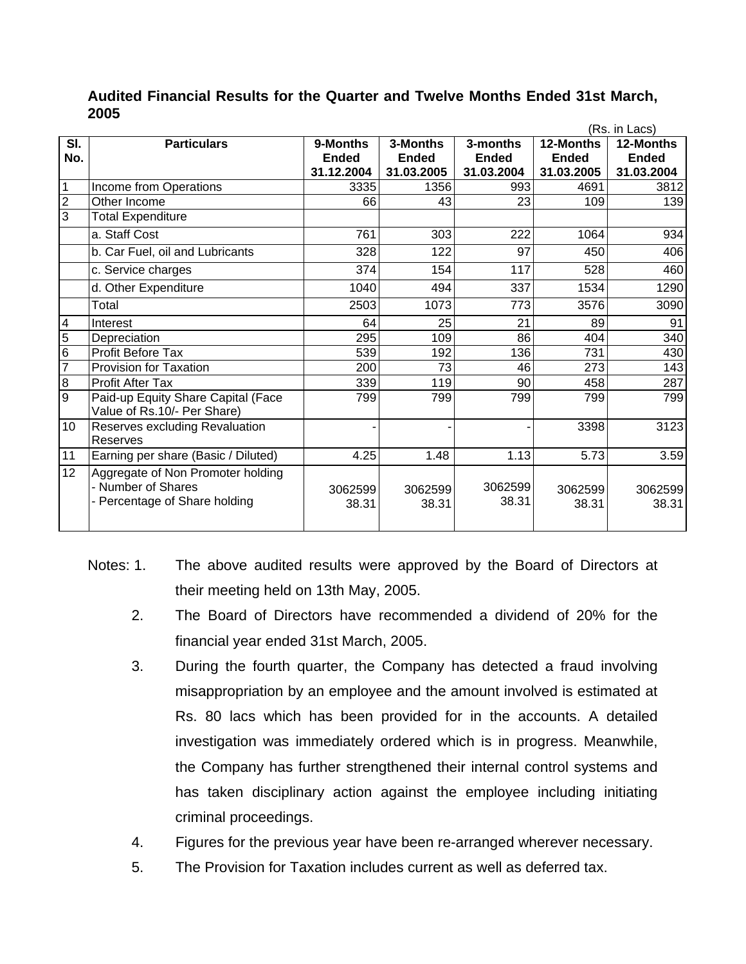|                 |                                                                                          |                  |                  |                  |                  | (Rs. in Lacs)    |
|-----------------|------------------------------------------------------------------------------------------|------------------|------------------|------------------|------------------|------------------|
| SI.             | <b>Particulars</b>                                                                       | 9-Months         | 3-Months         | 3-months         | 12-Months        | 12-Months        |
| No.             |                                                                                          | <b>Ended</b>     | <b>Ended</b>     | <b>Ended</b>     | <b>Ended</b>     | <b>Ended</b>     |
|                 |                                                                                          | 31.12.2004       | 31.03.2005       | 31.03.2004       | 31.03.2005       | 31.03.2004       |
| 1               | Income from Operations                                                                   | 3335             | 1356             | 993              | 4691             | 3812             |
| $\overline{2}$  | Other Income                                                                             | 66               | 43               | 23               | 109              | 139              |
| 3               | <b>Total Expenditure</b>                                                                 |                  |                  |                  |                  |                  |
|                 | a. Staff Cost                                                                            | 761              | 303              | 222              | 1064             | 934              |
|                 | b. Car Fuel, oil and Lubricants                                                          | 328              | 122              | 97               | 450              | 406              |
|                 | c. Service charges                                                                       | 374              | 154              | 117              | 528              | 460              |
|                 | d. Other Expenditure                                                                     | 1040             | 494              | 337              | 1534             | 1290             |
|                 | Total                                                                                    | 2503             | 1073             | 773              | 3576             | 3090             |
| 4               | Interest                                                                                 | 64               | 25               | 21               | 89               | 91               |
| 5               | Depreciation                                                                             | 295              | 109              | 86               | 404              | 340              |
| 6               | <b>Profit Before Tax</b>                                                                 | 539              | 192              | 136              | 731              | 430              |
| $\overline{7}$  | <b>Provision for Taxation</b>                                                            | 200              | 73               | 46               | 273              | 143              |
| $\bf{8}$        | <b>Profit After Tax</b>                                                                  | 339              | 119              | 90               | 458              | 287              |
| 9               | Paid-up Equity Share Capital (Face<br>Value of Rs.10/- Per Share)                        | 799              | 799              | 799              | 799              | 799              |
| 10 <sup>1</sup> | Reserves excluding Revaluation<br>Reserves                                               |                  |                  |                  | 3398             | 3123             |
| 11              | Earning per share (Basic / Diluted)                                                      | 4.25             | 1.48             | 1.13             | 5.73             | 3.59             |
| 12 <sup>2</sup> | Aggregate of Non Promoter holding<br>- Number of Shares<br>- Percentage of Share holding | 3062599<br>38.31 | 3062599<br>38.31 | 3062599<br>38.31 | 3062599<br>38.31 | 3062599<br>38.31 |

**Audited Financial Results for the Quarter and Twelve Months Ended 31st March, 2005**

- Notes: 1. The above audited results were approved by the Board of Directors at their meeting held on 13th May, 2005.
	- 2. The Board of Directors have recommended a dividend of 20% for the financial year ended 31st March, 2005.
	- 3. During the fourth quarter, the Company has detected a fraud involving misappropriation by an employee and the amount involved is estimated at Rs. 80 lacs which has been provided for in the accounts. A detailed investigation was immediately ordered which is in progress. Meanwhile, the Company has further strengthened their internal control systems and has taken disciplinary action against the employee including initiating criminal proceedings.
	- 4. Figures for the previous year have been re-arranged wherever necessary.
	- 5. The Provision for Taxation includes current as well as deferred tax.